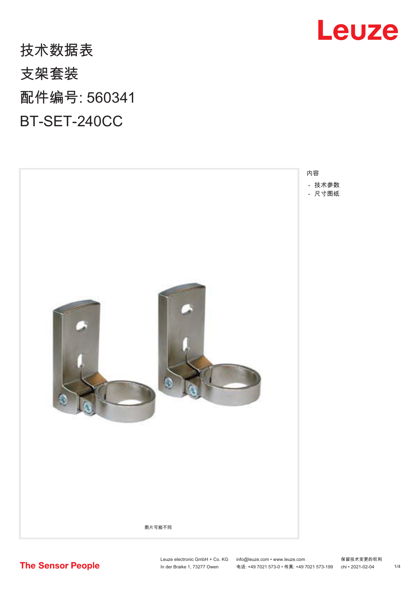## 技术数据表 支架套装 配件编号: 560341 BT-SET-240CC





**The Sensor People**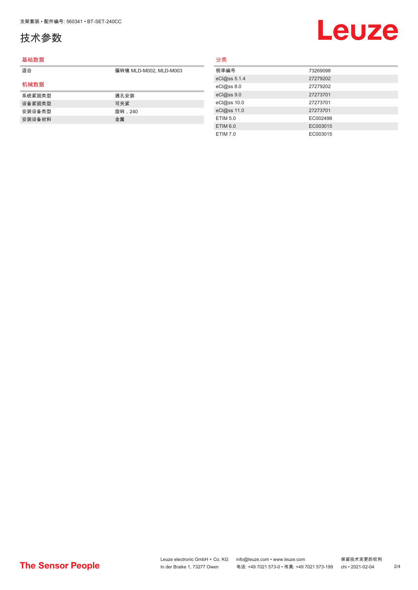## <span id="page-1-0"></span>技术参数

#### 基础数据

| 适合     | 偏转镜 MLD-M002, MLD-M003 |
|--------|------------------------|
| 机械数据   |                        |
| 系统紧固类型 | 通孔安装                   |
| 设备紧固类型 | 可夹紧                    |
| 安装设备类型 | 旋转,240                 |
| 安装设备材料 | 金属                     |

## 分类

| 税率编号            | 73269098 |
|-----------------|----------|
| eCl@ss 5.1.4    | 27279202 |
| eCl@ss 8.0      | 27279202 |
| eCl@ss9.0       | 27273701 |
| eCl@ss 10.0     | 27273701 |
| eCl@ss 11.0     | 27273701 |
| ETIM 5.0        | EC002498 |
| <b>ETIM 6.0</b> | EC003015 |
| ETIM 7.0        | EC003015 |

## **Leuze**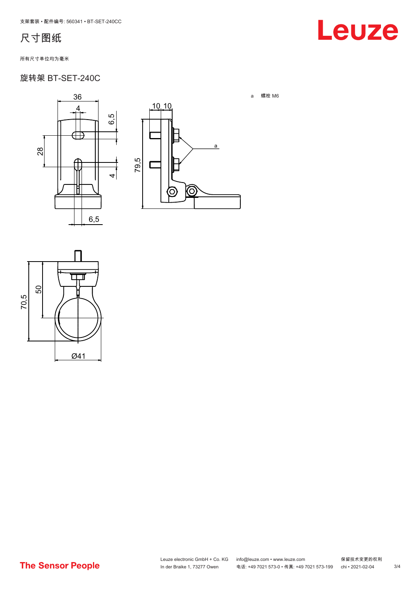### <span id="page-2-0"></span>尺寸图纸

#### 所有尺寸单位均为毫米

28

### 旋转架 BT-SET-240C

36

4

 $\rightarrow$ 

 $\overline{a}$ 

6,5

6,5





## Leuze